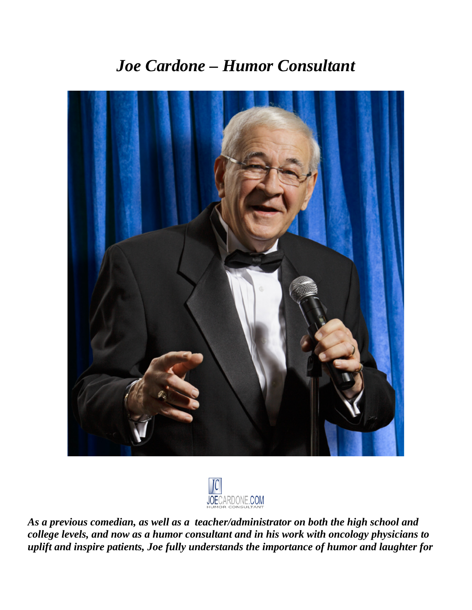# *Joe Cardone – Humor Consultant*





*As a previous comedian, as well as a teacher/administrator on both the high school and college levels, and now as a humor consultant and in his work with oncology physicians to uplift and inspire patients, Joe fully understands the importance of humor and laughter for*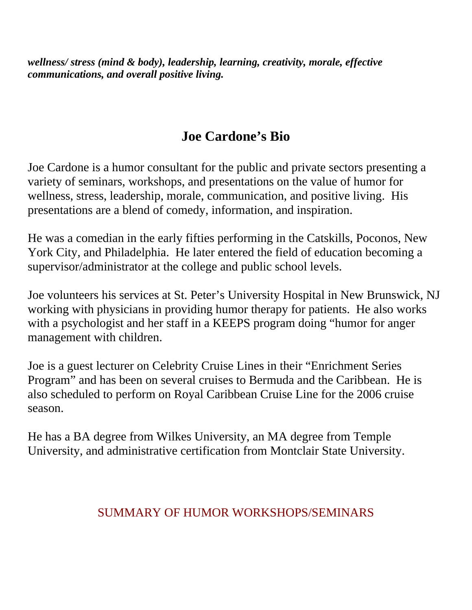*wellness/ stress (mind & body), leadership, learning, creativity, morale, effective communications, and overall positive living.* 

# **Joe Cardone's Bio**

Joe Cardone is a humor consultant for the public and private sectors presenting a variety of seminars, workshops, and presentations on the value of humor for wellness, stress, leadership, morale, communication, and positive living. His presentations are a blend of comedy, information, and inspiration.

He was a comedian in the early fifties performing in the Catskills, Poconos, New York City, and Philadelphia. He later entered the field of education becoming a supervisor/administrator at the college and public school levels.

Joe volunteers his services at St. Peter's University Hospital in New Brunswick, NJ working with physicians in providing humor therapy for patients. He also works with a psychologist and her staff in a KEEPS program doing "humor for anger management with children.

Joe is a guest lecturer on Celebrity Cruise Lines in their "Enrichment Series Program" and has been on several cruises to Bermuda and the Caribbean. He is also scheduled to perform on Royal Caribbean Cruise Line for the 2006 cruise season.

He has a BA degree from Wilkes University, an MA degree from Temple University, and administrative certification from Montclair State University.

### SUMMARY OF HUMOR WORKSHOPS/SEMINARS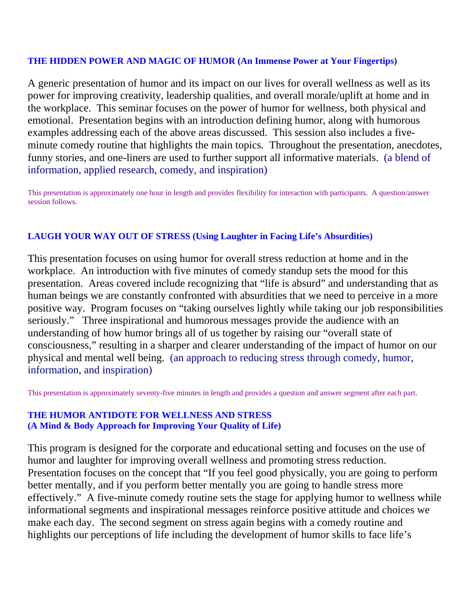#### **THE HIDDEN POWER AND MAGIC OF HUMOR (An Immense Power at Your Fingertips)**

A generic presentation of humor and its impact on our lives for overall wellness as well as its power for improving creativity, leadership qualities, and overall morale/uplift at home and in the workplace. This seminar focuses on the power of humor for wellness, both physical and emotional. Presentation begins with an introduction defining humor, along with humorous examples addressing each of the above areas discussed. This session also includes a fiveminute comedy routine that highlights the main topics. Throughout the presentation, anecdotes, funny stories, and one-liners are used to further support all informative materials. (a blend of information, applied research, comedy, and inspiration)

This presentation is approximately one hour in length and provides flexibility for interaction with participants. A question/answer session follows.

#### **LAUGH YOUR WAY OUT OF STRESS (Using Laughter in Facing Life's Absurdities)**

This presentation focuses on using humor for overall stress reduction at home and in the workplace. An introduction with five minutes of comedy standup sets the mood for this presentation. Areas covered include recognizing that "life is absurd" and understanding that as human beings we are constantly confronted with absurdities that we need to perceive in a more positive way. Program focuses on "taking ourselves lightly while taking our job responsibilities seriously." Three inspirational and humorous messages provide the audience with an understanding of how humor brings all of us together by raising our "overall state of consciousness," resulting in a sharper and clearer understanding of the impact of humor on our physical and mental well being. (an approach to reducing stress through comedy, humor, information, and inspiration)

This presentation is approximately seventy-five minutes in length and provides a question and answer segment after each part.

#### **THE HUMOR ANTIDOTE FOR WELLNESS AND STRESS (A Mind & Body Approach for Improving Your Quality of Life)**

This program is designed for the corporate and educational setting and focuses on the use of humor and laughter for improving overall wellness and promoting stress reduction. Presentation focuses on the concept that "If you feel good physically, you are going to perform better mentally, and if you perform better mentally you are going to handle stress more effectively." A five-minute comedy routine sets the stage for applying humor to wellness while informational segments and inspirational messages reinforce positive attitude and choices we make each day. The second segment on stress again begins with a comedy routine and highlights our perceptions of life including the development of humor skills to face life's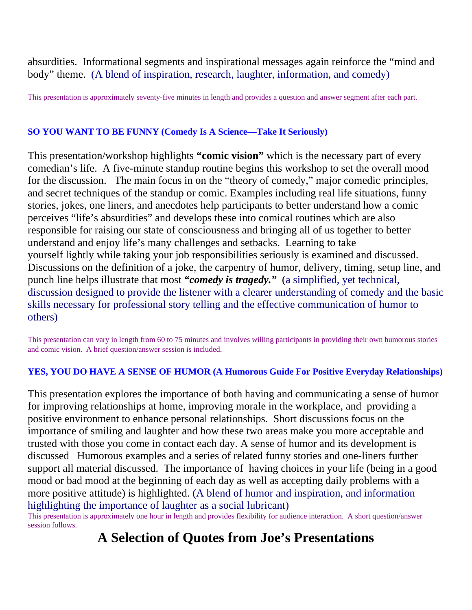absurdities. Informational segments and inspirational messages again reinforce the "mind and body" theme. (A blend of inspiration, research, laughter, information, and comedy)

This presentation is approximately seventy-five minutes in length and provides a question and answer segment after each part.

#### **SO YOU WANT TO BE FUNNY (Comedy Is A Science—Take It Seriously)**

This presentation/workshop highlights **"comic vision"** which is the necessary part of every comedian's life. A five-minute standup routine begins this workshop to set the overall mood for the discussion. The main focus in on the "theory of comedy," major comedic principles, and secret techniques of the standup or comic. Examples including real life situations, funny stories, jokes, one liners, and anecdotes help participants to better understand how a comic perceives "life's absurdities" and develops these into comical routines which are also responsible for raising our state of consciousness and bringing all of us together to better understand and enjoy life's many challenges and setbacks. Learning to take yourself lightly while taking your job responsibilities seriously is examined and discussed. Discussions on the definition of a joke, the carpentry of humor, delivery, timing, setup line, and punch line helps illustrate that most *"comedy is tragedy."* (a simplified, yet technical, discussion designed to provide the listener with a clearer understanding of comedy and the basic skills necessary for professional story telling and the effective communication of humor to others)

This presentation can vary in length from 60 to 75 minutes and involves willing participants in providing their own humorous stories and comic vision. A brief question/answer session is included.

#### **YES, YOU DO HAVE A SENSE OF HUMOR (A Humorous Guide For Positive Everyday Relationships)**

This presentation explores the importance of both having and communicating a sense of humor for improving relationships at home, improving morale in the workplace, and providing a positive environment to enhance personal relationships. Short discussions focus on the importance of smiling and laughter and how these two areas make you more acceptable and trusted with those you come in contact each day. A sense of humor and its development is discussed Humorous examples and a series of related funny stories and one-liners further support all material discussed. The importance of having choices in your life (being in a good mood or bad mood at the beginning of each day as well as accepting daily problems with a more positive attitude) is highlighted. (A blend of humor and inspiration, and information highlighting the importance of laughter as a social lubricant)

This presentation is approximately one hour in length and provides flexibility for audience interaction. A short question/answer session follows.

## **A Selection of Quotes from Joe's Presentations**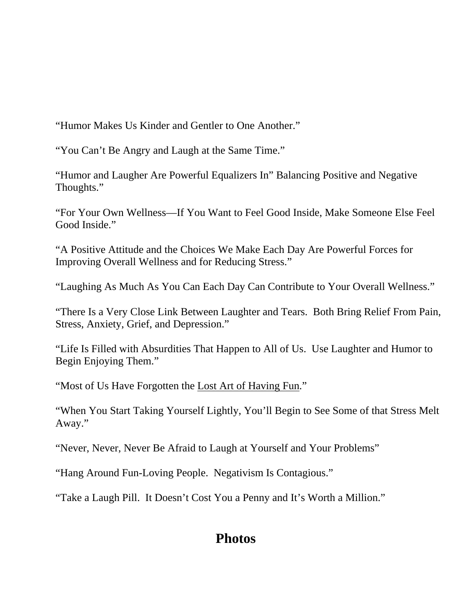"Humor Makes Us Kinder and Gentler to One Another."

"You Can't Be Angry and Laugh at the Same Time."

"Humor and Laugher Are Powerful Equalizers In" Balancing Positive and Negative Thoughts."

"For Your Own Wellness—If You Want to Feel Good Inside, Make Someone Else Feel Good Inside."

"A Positive Attitude and the Choices We Make Each Day Are Powerful Forces for Improving Overall Wellness and for Reducing Stress."

"Laughing As Much As You Can Each Day Can Contribute to Your Overall Wellness."

"There Is a Very Close Link Between Laughter and Tears. Both Bring Relief From Pain, Stress, Anxiety, Grief, and Depression."

"Life Is Filled with Absurdities That Happen to All of Us. Use Laughter and Humor to Begin Enjoying Them."

"Most of Us Have Forgotten the Lost Art of Having Fun."

"When You Start Taking Yourself Lightly, You'll Begin to See Some of that Stress Melt Away."

"Never, Never, Never Be Afraid to Laugh at Yourself and Your Problems"

"Hang Around Fun-Loving People. Negativism Is Contagious."

"Take a Laugh Pill. It Doesn't Cost You a Penny and It's Worth a Million."

## **Photos**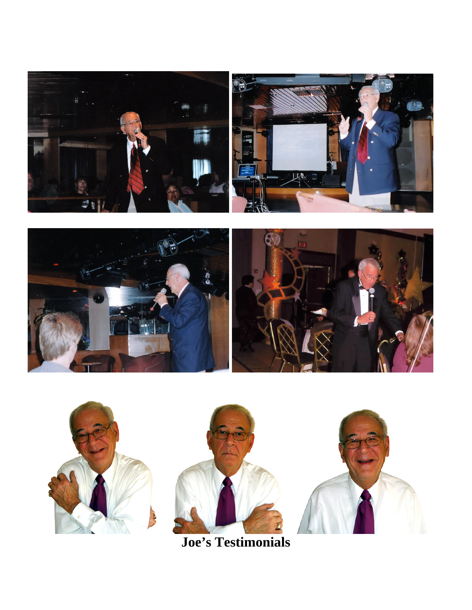







**Joe's Testimonials**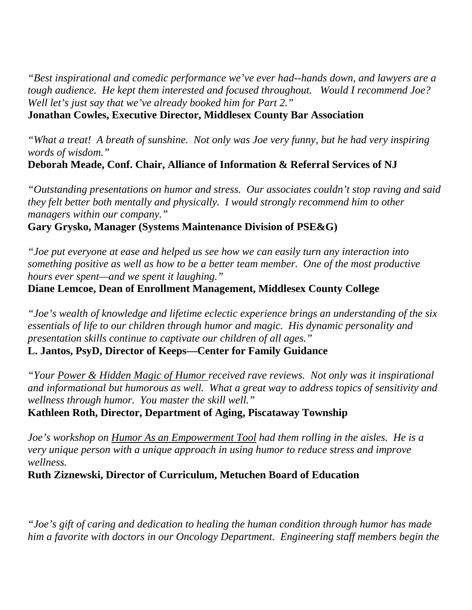*"Best inspirational and comedic performance we've ever had--hands down, and lawyers are a tough audience. He kept them interested and focused throughout. Would I recommend Joe? Well let's just say that we've already booked him for Part 2."*  **Jonathan Cowles, Executive Director, Middlesex County Bar Association** 

*"What a treat! A breath of sunshine. Not only was Joe very funny, but he had very inspiring words of wisdom."* 

**Deborah Meade, Conf. Chair, Alliance of Information & Referral Services of NJ** 

*"Outstanding presentations on humor and stress. Our associates couldn't stop raving and said they felt better both mentally and physically. I would strongly recommend him to other managers within our company."* 

**Gary Grysko, Manager (Systems Maintenance Division of PSE&G)** 

*"Joe put everyone at ease and helped us see how we can easily turn any interaction into something positive as well as how to be a better team member. One of the most productive hours ever spent—and we spent it laughing."* 

**Diane Lemcoe, Dean of Enrollment Management, Middlesex County College** 

*"Joe's wealth of knowledge and lifetime eclectic experience brings an understanding of the six essentials of life to our children through humor and magic. His dynamic personality and presentation skills continue to captivate our children of all ages."* 

**L. Jantos, PsyD, Director of Keeps—Center for Family Guidance** 

*"Your Power & Hidden Magic of Humor received rave reviews. Not only was it inspirational and informational but humorous as well. What a great way to address topics of sensitivity and wellness through humor. You master the skill well."* 

**Kathleen Roth, Director, Department of Aging, Piscataway Township** 

*Joe's workshop on Humor As an Empowerment Tool had them rolling in the aisles. He is a very unique person with a unique approach in using humor to reduce stress and improve wellness.* 

**Ruth Ziznewski, Director of Curriculum, Metuchen Board of Education** 

*"Joe's gift of caring and dedication to healing the human condition through humor has made him a favorite with doctors in our Oncology Department. Engineering staff members begin the*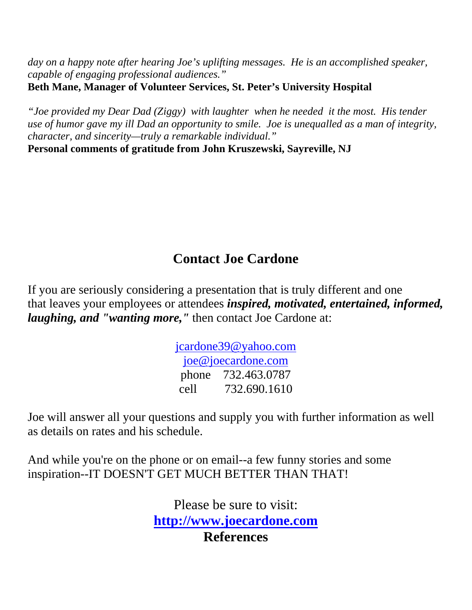*day on a happy note after hearing Joe's uplifting messages. He is an accomplished speaker, capable of engaging professional audiences."* 

**Beth Mane, Manager of Volunteer Services, St. Peter's University Hospital** 

*"Joe provided my Dear Dad (Ziggy) with laughter when he needed it the most. His tender use of humor gave my ill Dad an opportunity to smile. Joe is unequalled as a man of integrity, character, and sincerity—truly a remarkable individual."* 

**Personal comments of gratitude from John Kruszewski, Sayreville, NJ** 

# **Contact Joe Cardone**

If you are seriously considering a presentation that is truly different and one that leaves your employees or attendees *inspired, motivated, entertained, informed, laughing, and "wanting more,"* then contact Joe Cardone at:

> [jcardone39@yahoo.com](mailto:jcardone39@yahoo.com) joe@joecardone.com phone 732.463.0787 cell 732.690.1610

Joe will answer all your questions and supply you with further information as well as details on rates and his schedule.

And while you're on the phone or on email--a few funny stories and some inspiration--IT DOESN'T GET MUCH BETTER THAN THAT!

> Please be sure to visit: **[http://www.joecardone.com](http://www.joecardone.com/) References**